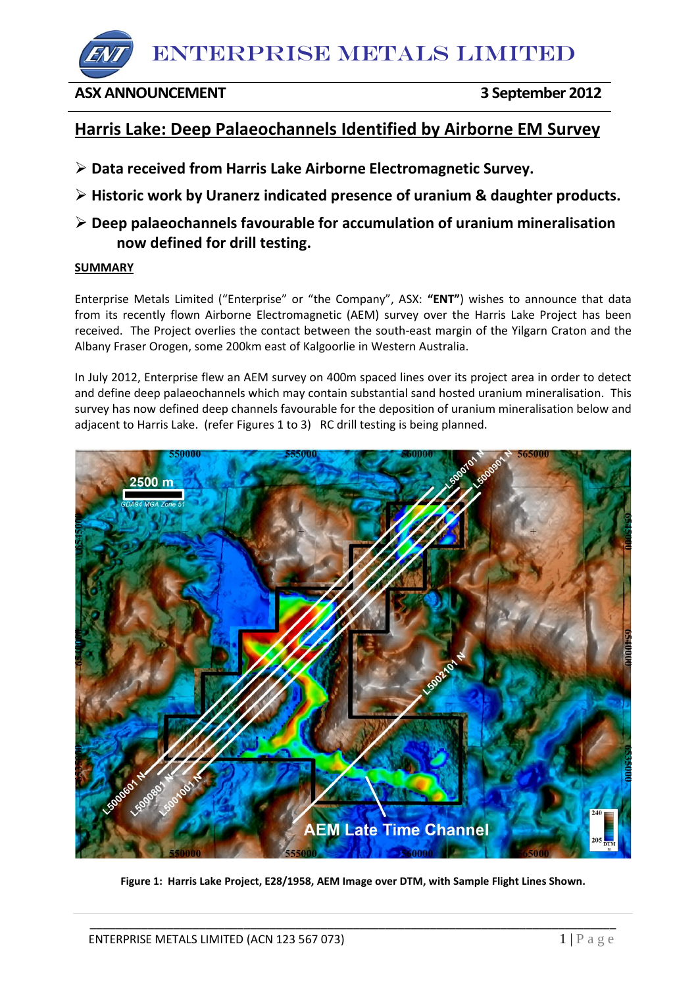ENTERPRISE METALS LIMITED

# **ASX ANNOUNCEMENT 3 September 2012**

# **Harris Lake: Deep Palaeochannels Identified by Airborne EM Survey**

- **Data received from Harris Lake Airborne Electromagnetic Survey.**
- **Historic work by Uranerz indicated presence of uranium & daughter products.**
- **Deep palaeochannels favourable for accumulation of uranium mineralisation now defined for drill testing.**

## **SUMMARY**

Enterprise Metals Limited ("Enterprise" or "the Company", ASX: **"ENT"**) wishes to announce that data from its recently flown Airborne Electromagnetic (AEM) survey over the Harris Lake Project has been received. The Project overlies the contact between the south-east margin of the Yilgarn Craton and the Albany Fraser Orogen, some 200km east of Kalgoorlie in Western Australia.

In July 2012, Enterprise flew an AEM survey on 400m spaced lines over its project area in order to detect and define deep palaeochannels which may contain substantial sand hosted uranium mineralisation. This survey has now defined deep channels favourable for the deposition of uranium mineralisation below and adjacent to Harris Lake. (refer Figures 1 to 3) RC drill testing is being planned.



**Figure 1: Harris Lake Project, E28/1958, AEM Image over DTM, with Sample Flight Lines Shown.**

\_\_\_\_\_\_\_\_\_\_\_\_\_\_\_\_\_\_\_\_\_\_\_\_\_\_\_\_\_\_\_\_\_\_\_\_\_\_\_\_\_\_\_\_\_\_\_\_\_\_\_\_\_\_\_\_\_\_\_\_\_\_\_\_\_\_\_\_\_\_\_\_\_\_\_\_\_\_\_\_\_\_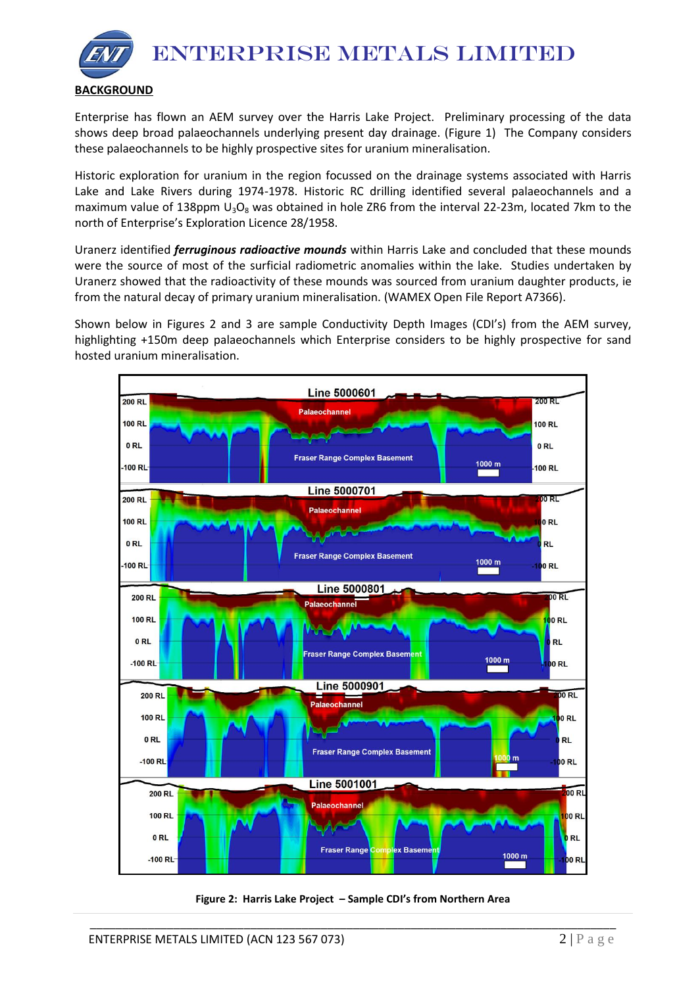ENTERPRISE METALS LIMITED



Enterprise has flown an AEM survey over the Harris Lake Project. Preliminary processing of the data shows deep broad palaeochannels underlying present day drainage. (Figure 1) The Company considers these palaeochannels to be highly prospective sites for uranium mineralisation.

Historic exploration for uranium in the region focussed on the drainage systems associated with Harris Lake and Lake Rivers during 1974-1978. Historic RC drilling identified several palaeochannels and a maximum value of 138ppm  $U_3O_8$  was obtained in hole ZR6 from the interval 22-23m, located 7km to the north of Enterprise's Exploration Licence 28/1958.

Uranerz identified *ferruginous radioactive mounds* within Harris Lake and concluded that these mounds were the source of most of the surficial radiometric anomalies within the lake. Studies undertaken by Uranerz showed that the radioactivity of these mounds was sourced from uranium daughter products, ie from the natural decay of primary uranium mineralisation. (WAMEX Open File Report A7366).

Shown below in Figures 2 and 3 are sample Conductivity Depth Images (CDI's) from the AEM survey, highlighting +150m deep palaeochannels which Enterprise considers to be highly prospective for sand hosted uranium mineralisation.



**Figure 2: Harris Lake Project – Sample CDI's from Northern Area**

\_\_\_\_\_\_\_\_\_\_\_\_\_\_\_\_\_\_\_\_\_\_\_\_\_\_\_\_\_\_\_\_\_\_\_\_\_\_\_\_\_\_\_\_\_\_\_\_\_\_\_\_\_\_\_\_\_\_\_\_\_\_\_\_\_\_\_\_\_\_\_\_\_\_\_\_\_\_\_\_\_\_